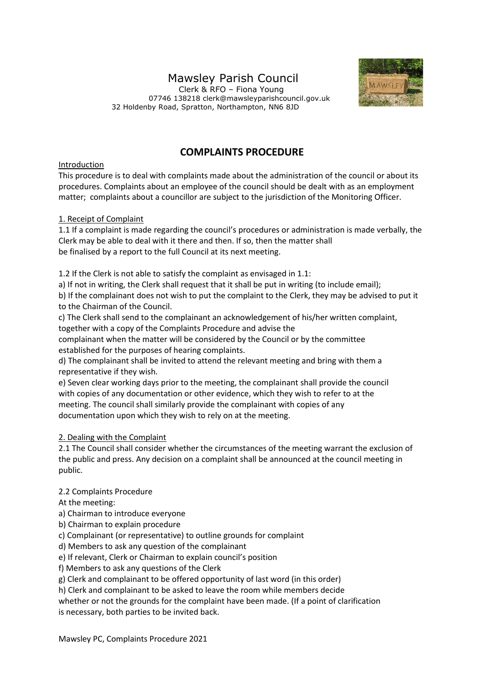# Mawsley Parish Council

 Clerk & RFO – Fiona Young 07746 138218 clerk@mawsleyparishcouncil.gov.uk 32 Holdenby Road, Spratton, Northampton, NN6 8JD



# **COMPLAINTS PROCEDURE**

## Introduction

This procedure is to deal with complaints made about the administration of the council or about its procedures. Complaints about an employee of the council should be dealt with as an employment matter; complaints about a councillor are subject to the jurisdiction of the Monitoring Officer.

### 1. Receipt of Complaint

1.1 If a complaint is made regarding the council's procedures or administration is made verbally, the Clerk may be able to deal with it there and then. If so, then the matter shall be finalised by a report to the full Council at its next meeting.

1.2 If the Clerk is not able to satisfy the complaint as envisaged in 1.1:

a) If not in writing, the Clerk shall request that it shall be put in writing (to include email);

b) If the complainant does not wish to put the complaint to the Clerk, they may be advised to put it to the Chairman of the Council.

c) The Clerk shall send to the complainant an acknowledgement of his/her written complaint, together with a copy of the Complaints Procedure and advise the

complainant when the matter will be considered by the Council or by the committee established for the purposes of hearing complaints.

d) The complainant shall be invited to attend the relevant meeting and bring with them a representative if they wish.

e) Seven clear working days prior to the meeting, the complainant shall provide the council with copies of any documentation or other evidence, which they wish to refer to at the meeting. The council shall similarly provide the complainant with copies of any documentation upon which they wish to rely on at the meeting.

#### 2. Dealing with the Complaint

2.1 The Council shall consider whether the circumstances of the meeting warrant the exclusion of the public and press. Any decision on a complaint shall be announced at the council meeting in public.

#### 2.2 Complaints Procedure

At the meeting:

a) Chairman to introduce everyone

- b) Chairman to explain procedure
- c) Complainant (or representative) to outline grounds for complaint
- d) Members to ask any question of the complainant

e) If relevant, Clerk or Chairman to explain council's position

f) Members to ask any questions of the Clerk

g) Clerk and complainant to be offered opportunity of last word (in this order)

h) Clerk and complainant to be asked to leave the room while members decide

whether or not the grounds for the complaint have been made. (If a point of clarification is necessary, both parties to be invited back.